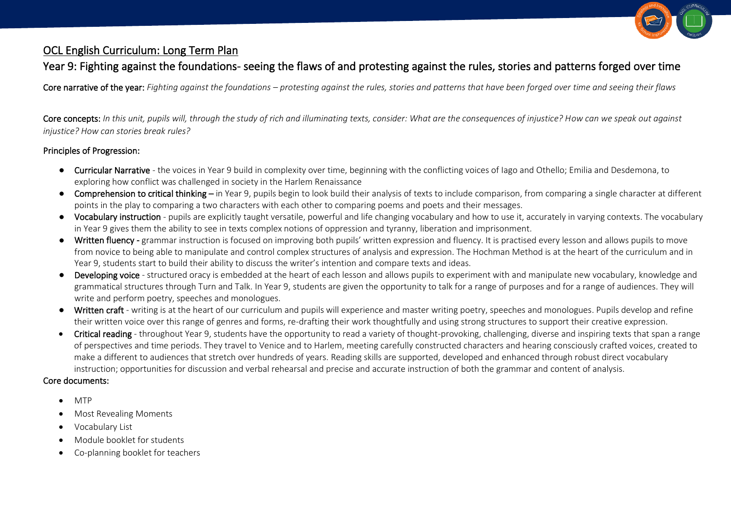

## OCL English Curriculum: Long Term Plan

## Year 9: Fighting against the foundations- seeing the flaws of and protesting against the rules, stories and patterns forged over time

Core narrative of the year: *Fighting against the foundations – protesting against the rules, stories and patterns that have been forged over time and seeing their flaws*

Core concepts: *In this unit, pupils will, through the study of rich and illuminating texts, consider: What are the consequences of injustice? How can we speak out against injustice? How can stories break rules?*

## Principles of Progression:

- Curricular Narrative the voices in Year 9 build in complexity over time, beginning with the conflicting voices of lago and Othello; Emilia and Desdemona, to exploring how conflict was challenged in society in the Harlem Renaissance
- Comprehension to critical thinking in Year 9, pupils begin to look build their analysis of texts to include comparison, from comparing a single character at different points in the play to comparing a two characters with each other to comparing poems and poets and their messages.
- Vocabulary instruction pupils are explicitly taught versatile, powerful and life changing vocabulary and how to use it, accurately in varying contexts. The vocabulary in Year 9 gives them the ability to see in texts complex notions of oppression and tyranny, liberation and imprisonment.
- Written fluency grammar instruction is focused on improving both pupils' written expression and fluency. It is practised every lesson and allows pupils to move from novice to being able to manipulate and control complex structures of analysis and expression. The Hochman Method is at the heart of the curriculum and in Year 9, students start to build their ability to discuss the writer's intention and compare texts and ideas.
- Developing voice structured oracy is embedded at the heart of each lesson and allows pupils to experiment with and manipulate new vocabulary, knowledge and grammatical structures through Turn and Talk. In Year 9, students are given the opportunity to talk for a range of purposes and for a range of audiences. They will write and perform poetry, speeches and monologues.
- Written craft writing is at the heart of our curriculum and pupils will experience and master writing poetry, speeches and monologues. Pupils develop and refine their written voice over this range of genres and forms, re-drafting their work thoughtfully and using strong structures to support their creative expression.
- Critical reading throughout Year 9, students have the opportunity to read a variety of thought-provoking, challenging, diverse and inspiring texts that span a range of perspectives and time periods. They travel to Venice and to Harlem, meeting carefully constructed characters and hearing consciously crafted voices, created to make a different to audiences that stretch over hundreds of years. Reading skills are supported, developed and enhanced through robust direct vocabulary instruction; opportunities for discussion and verbal rehearsal and precise and accurate instruction of both the grammar and content of analysis.

## Core documents:

- MTP
- Most Revealing Moments
- Vocabulary List
- Module booklet for students
- Co-planning booklet for teachers